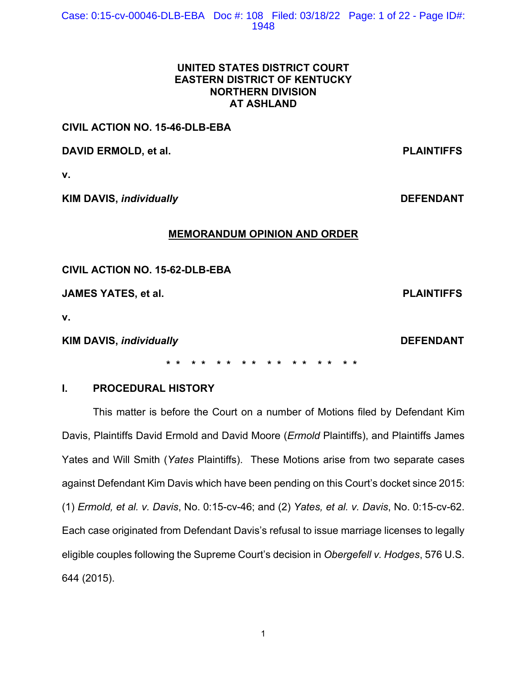# **UNITED STATES DISTRICT COURT EASTERN DISTRICT OF KENTUCKY NORTHERN DIVISION AT ASHLAND**

## **CIVIL ACTION NO. 15-46-DLB-EBA**

**DAVID ERMOLD, et al. PLAINTIFFS** 

**v.** 

**KIM DAVIS,** *individually DEFENDANT* 

## **MEMORANDUM OPINION AND ORDER**

**CIVIL ACTION NO. 15-62-DLB-EBA** 

**JAMES YATES, et al. PLAINTIFFS**

**v.** 

**KIM DAVIS,** *individually DEFENDANT* 

## **\* \* \* \* \* \* \* \* \* \* \* \* \* \* \* \***

# **I. PROCEDURAL HISTORY**

This matter is before the Court on a number of Motions filed by Defendant Kim Davis, Plaintiffs David Ermold and David Moore (*Ermold* Plaintiffs), and Plaintiffs James Yates and Will Smith (*Yates* Plaintiffs). These Motions arise from two separate cases against Defendant Kim Davis which have been pending on this Court's docket since 2015: (1) *Ermold, et al. v. Davis*, No. 0:15-cv-46; and (2) *Yates, et al. v. Davis*, No. 0:15-cv-62. Each case originated from Defendant Davis's refusal to issue marriage licenses to legally eligible couples following the Supreme Court's decision in *Obergefell v. Hodges*, 576 U.S. 644 (2015).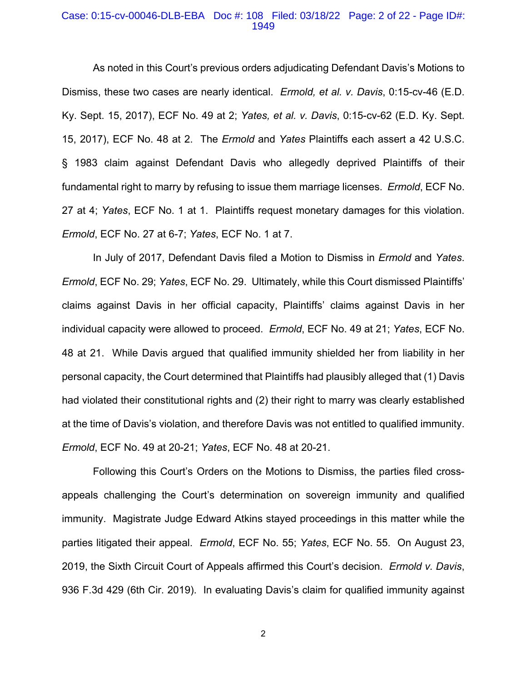#### Case: 0:15-cv-00046-DLB-EBA Doc #: 108 Filed: 03/18/22 Page: 2 of 22 - Page ID#: 1949

As noted in this Court's previous orders adjudicating Defendant Davis's Motions to Dismiss, these two cases are nearly identical. *Ermold, et al. v. Davis*, 0:15-cv-46 (E.D. Ky. Sept. 15, 2017), ECF No. 49 at 2; *Yates, et al. v. Davis*, 0:15-cv-62 (E.D. Ky. Sept. 15, 2017), ECF No. 48 at 2. The *Ermold* and *Yates* Plaintiffs each assert a 42 U.S.C. § 1983 claim against Defendant Davis who allegedly deprived Plaintiffs of their fundamental right to marry by refusing to issue them marriage licenses. *Ermold*, ECF No. 27 at 4; *Yates*, ECF No. 1 at 1. Plaintiffs request monetary damages for this violation. *Ermold*, ECF No. 27 at 6-7; *Yates*, ECF No. 1 at 7.

In July of 2017, Defendant Davis filed a Motion to Dismiss in *Ermold* and *Yates*. *Ermold*, ECF No. 29; *Yates*, ECF No. 29. Ultimately, while this Court dismissed Plaintiffs' claims against Davis in her official capacity, Plaintiffs' claims against Davis in her individual capacity were allowed to proceed. *Ermold*, ECF No. 49 at 21; *Yates*, ECF No. 48 at 21. While Davis argued that qualified immunity shielded her from liability in her personal capacity, the Court determined that Plaintiffs had plausibly alleged that (1) Davis had violated their constitutional rights and (2) their right to marry was clearly established at the time of Davis's violation, and therefore Davis was not entitled to qualified immunity. *Ermold*, ECF No. 49 at 20-21; *Yates*, ECF No. 48 at 20-21.

Following this Court's Orders on the Motions to Dismiss, the parties filed crossappeals challenging the Court's determination on sovereign immunity and qualified immunity. Magistrate Judge Edward Atkins stayed proceedings in this matter while the parties litigated their appeal. *Ermold*, ECF No. 55; *Yates*, ECF No. 55. On August 23, 2019, the Sixth Circuit Court of Appeals affirmed this Court's decision. *Ermold v. Davis*, 936 F.3d 429 (6th Cir. 2019). In evaluating Davis's claim for qualified immunity against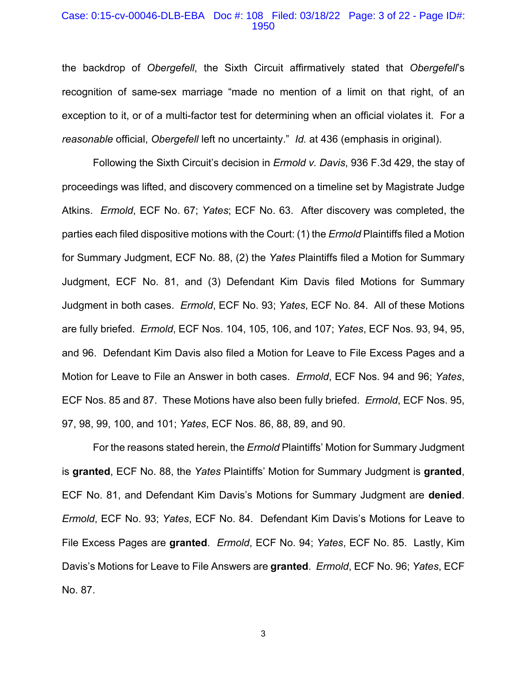#### Case: 0:15-cv-00046-DLB-EBA Doc #: 108 Filed: 03/18/22 Page: 3 of 22 - Page ID#: 1950

the backdrop of *Obergefell*, the Sixth Circuit affirmatively stated that *Obergefell*'s recognition of same-sex marriage "made no mention of a limit on that right, of an exception to it, or of a multi-factor test for determining when an official violates it. For a *reasonable* official, *Obergefell* left no uncertainty." *Id.* at 436 (emphasis in original).

 Following the Sixth Circuit's decision in *Ermold v. Davis*, 936 F.3d 429, the stay of proceedings was lifted, and discovery commenced on a timeline set by Magistrate Judge Atkins. *Ermold*, ECF No. 67; *Yates*; ECF No. 63. After discovery was completed, the parties each filed dispositive motions with the Court: (1) the *Ermold* Plaintiffs filed a Motion for Summary Judgment, ECF No. 88, (2) the *Yates* Plaintiffs filed a Motion for Summary Judgment, ECF No. 81, and (3) Defendant Kim Davis filed Motions for Summary Judgment in both cases. *Ermold*, ECF No. 93; *Yates*, ECF No. 84. All of these Motions are fully briefed. *Ermold*, ECF Nos. 104, 105, 106, and 107; *Yates*, ECF Nos. 93, 94, 95, and 96. Defendant Kim Davis also filed a Motion for Leave to File Excess Pages and a Motion for Leave to File an Answer in both cases. *Ermold*, ECF Nos. 94 and 96; *Yates*, ECF Nos. 85 and 87. These Motions have also been fully briefed. *Ermold*, ECF Nos. 95, 97, 98, 99, 100, and 101; *Yates*, ECF Nos. 86, 88, 89, and 90.

 For the reasons stated herein, the *Ermold* Plaintiffs' Motion for Summary Judgment is **granted**, ECF No. 88, the *Yates* Plaintiffs' Motion for Summary Judgment is **granted**, ECF No. 81, and Defendant Kim Davis's Motions for Summary Judgment are **denied**. *Ermold*, ECF No. 93; *Yates*, ECF No. 84. Defendant Kim Davis's Motions for Leave to File Excess Pages are **granted**. *Ermold*, ECF No. 94; *Yates*, ECF No. 85. Lastly, Kim Davis's Motions for Leave to File Answers are **granted**. *Ermold*, ECF No. 96; *Yates*, ECF No. 87.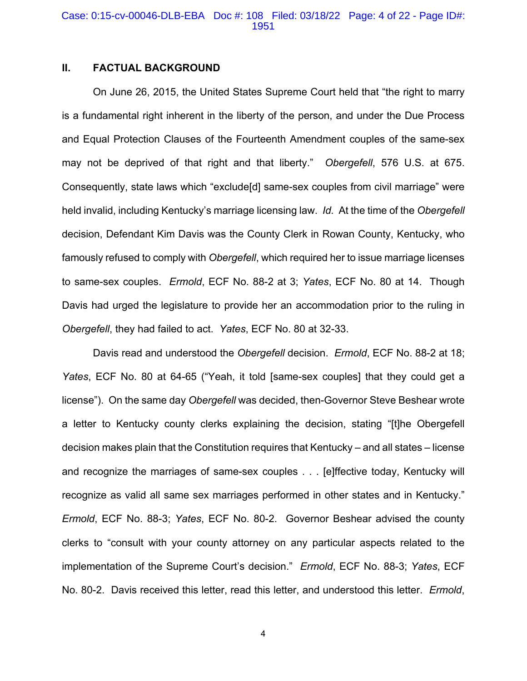#### Case: 0:15-cv-00046-DLB-EBA Doc #: 108 Filed: 03/18/22 Page: 4 of 22 - Page ID#: 1951

## **II. FACTUAL BACKGROUND**

On June 26, 2015, the United States Supreme Court held that "the right to marry is a fundamental right inherent in the liberty of the person, and under the Due Process and Equal Protection Clauses of the Fourteenth Amendment couples of the same-sex may not be deprived of that right and that liberty." *Obergefell*, 576 U.S. at 675. Consequently, state laws which "exclude[d] same-sex couples from civil marriage" were held invalid, including Kentucky's marriage licensing law. *Id.* At the time of the *Obergefell*  decision, Defendant Kim Davis was the County Clerk in Rowan County, Kentucky, who famously refused to comply with *Obergefell*, which required her to issue marriage licenses to same-sex couples. *Ermold*, ECF No. 88-2 at 3; *Yates*, ECF No. 80 at 14.Though Davis had urged the legislature to provide her an accommodation prior to the ruling in *Obergefell*, they had failed to act. *Yates*, ECF No. 80 at 32-33.

Davis read and understood the *Obergefell* decision. *Ermold*, ECF No. 88-2 at 18; *Yates*, ECF No. 80 at 64-65 ("Yeah, it told [same-sex couples] that they could get a license"). On the same day *Obergefell* was decided, then-Governor Steve Beshear wrote a letter to Kentucky county clerks explaining the decision, stating "[t]he Obergefell decision makes plain that the Constitution requires that Kentucky – and all states – license and recognize the marriages of same-sex couples . . . [e]ffective today, Kentucky will recognize as valid all same sex marriages performed in other states and in Kentucky." *Ermold*, ECF No. 88-3; *Yates*, ECF No. 80-2. Governor Beshear advised the county clerks to "consult with your county attorney on any particular aspects related to the implementation of the Supreme Court's decision." *Ermold*, ECF No. 88-3; *Yates*, ECF No. 80-2. Davis received this letter, read this letter, and understood this letter. *Ermold*,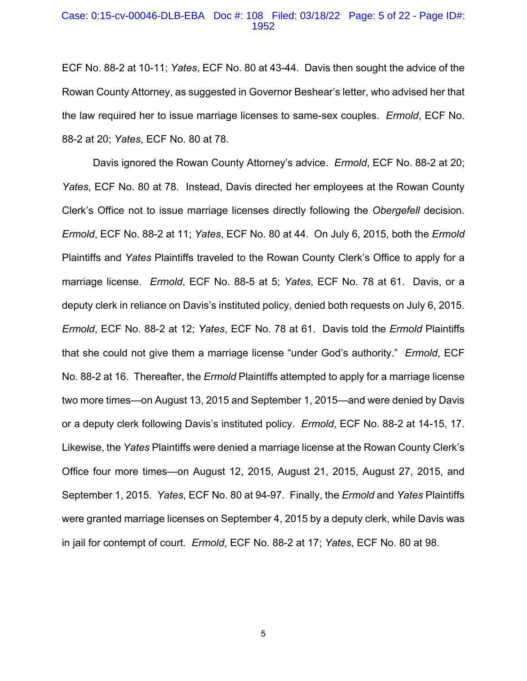#### Case: 0:15-cv-00046-DLB-EBA Doc #: 108 Filed: 03/18/22 Page: 5 of 22 - Page ID#: 1952

ECF No. 88-2 at 10-11; *Yates*, ECF No. 80 at 43-44. Davis then sought the advice of the Rowan County Attorney, as suggested in Governor Beshear's letter, who advised her that the law required her to issue marriage licenses to same-sex couples. *Ermold*, ECF No. 88-2 at 20; *Yates*, ECF No. 80 at 78.

Davis ignored the Rowan County Attorney's advice. *Ermold*, ECF No. 88-2 at 20; *Yates*, ECF No. 80 at 78. Instead, Davis directed her employees at the Rowan County Clerk's Office not to issue marriage licenses directly following the *Obergefell* decision. *Ermold*, ECF No. 88-2 at 11; *Yates*, ECF No. 80 at 44.On July 6, 2015, both the *Ermold*  Plaintiffs and *Yates* Plaintiffs traveled to the Rowan County Clerk's Office to apply for a marriage license. *Ermold*, ECF No. 88-5 at 5; *Yates*, ECF No. 78 at 61. Davis, or a deputy clerk in reliance on Davis's instituted policy, denied both requests on July 6, 2015. *Ermold*, ECF No. 88-2 at 12; *Yates*, ECF No. 78 at 61. Davis told the *Ermold* Plaintiffs that she could not give them a marriage license "under God's authority." *Ermold*, ECF No. 88-2 at 16.Thereafter, the *Ermold* Plaintiffs attempted to apply for a marriage license two more times—on August 13, 2015 and September 1, 2015—and were denied by Davis or a deputy clerk following Davis's instituted policy. *Ermold*, ECF No. 88-2 at 14-15, 17. Likewise, the *Yates* Plaintiffs were denied a marriage license at the Rowan County Clerk's Office four more times—on August 12, 2015, August 21, 2015, August 27, 2015, and September 1, 2015. *Yates*, ECF No. 80 at 94-97. Finally, the *Ermold* and *Yates* Plaintiffs were granted marriage licenses on September 4, 2015 by a deputy clerk, while Davis was in jail for contempt of court. *Ermold*, ECF No. 88-2 at 17; *Yates*, ECF No. 80 at 98.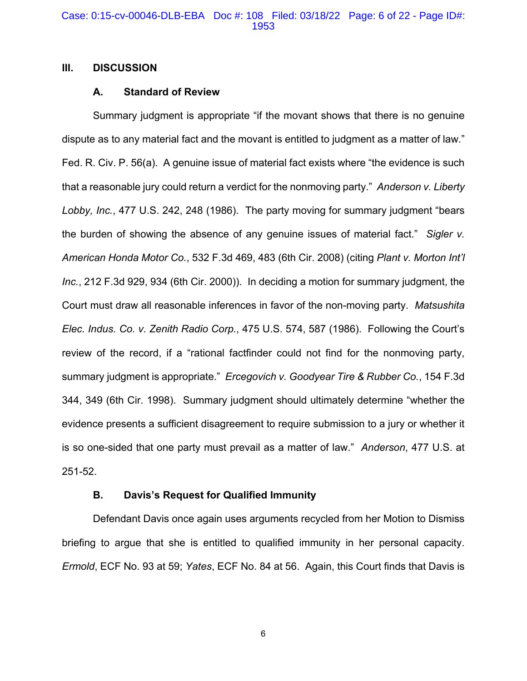## **III. DISCUSSION**

## **A. Standard of Review**

Summary judgment is appropriate "if the movant shows that there is no genuine dispute as to any material fact and the movant is entitled to judgment as a matter of law." Fed. R. Civ. P. 56(a). A genuine issue of material fact exists where "the evidence is such that a reasonable jury could return a verdict for the nonmoving party." *Anderson v. Liberty Lobby, Inc.*, 477 U.S. 242, 248 (1986).The party moving for summary judgment "bears the burden of showing the absence of any genuine issues of material fact." *Sigler v. American Honda Motor Co.*, 532 F.3d 469, 483 (6th Cir. 2008) (citing *Plant v. Morton Int'l Inc.*, 212 F.3d 929, 934 (6th Cir. 2000)).In deciding a motion for summary judgment, the Court must draw all reasonable inferences in favor of the non-moving party. *Matsushita Elec. Indus. Co. v. Zenith Radio Corp.*, 475 U.S. 574, 587 (1986). Following the Court's review of the record, if a "rational factfinder could not find for the nonmoving party, summary judgment is appropriate." *Ercegovich v. Goodyear Tire & Rubber Co.*, 154 F.3d 344, 349 (6th Cir. 1998). Summary judgment should ultimately determine "whether the evidence presents a sufficient disagreement to require submission to a jury or whether it is so one-sided that one party must prevail as a matter of law." *Anderson*, 477 U.S. at 251-52.

### **B. Davis's Request for Qualified Immunity**

Defendant Davis once again uses arguments recycled from her Motion to Dismiss briefing to argue that she is entitled to qualified immunity in her personal capacity. *Ermold*, ECF No. 93 at 59; *Yates*, ECF No. 84 at 56. Again, this Court finds that Davis is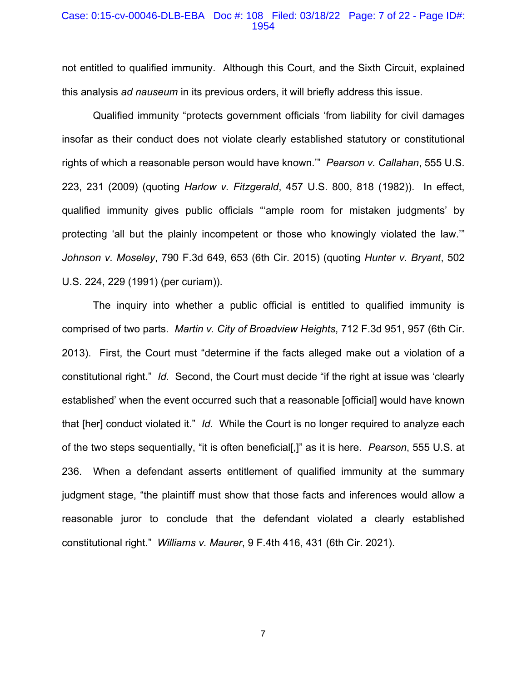#### Case: 0:15-cv-00046-DLB-EBA Doc #: 108 Filed: 03/18/22 Page: 7 of 22 - Page ID#: 1954

not entitled to qualified immunity. Although this Court, and the Sixth Circuit, explained this analysis *ad nauseum* in its previous orders, it will briefly address this issue.

 Qualified immunity "protects government officials 'from liability for civil damages insofar as their conduct does not violate clearly established statutory or constitutional rights of which a reasonable person would have known.'" *Pearson v. Callahan*, 555 U.S. 223, 231 (2009) (quoting *Harlow v. Fitzgerald*, 457 U.S. 800, 818 (1982)). In effect, qualified immunity gives public officials "'ample room for mistaken judgments' by protecting 'all but the plainly incompetent or those who knowingly violated the law.'" *Johnson v. Moseley*, 790 F.3d 649, 653 (6th Cir. 2015) (quoting *Hunter v. Bryant*, 502 U.S. 224, 229 (1991) (per curiam)).

 The inquiry into whether a public official is entitled to qualified immunity is comprised of two parts. *Martin v. City of Broadview Heights*, 712 F.3d 951, 957 (6th Cir. 2013). First, the Court must "determine if the facts alleged make out a violation of a constitutional right." *Id.* Second, the Court must decide "if the right at issue was 'clearly established' when the event occurred such that a reasonable [official] would have known that [her] conduct violated it." *Id.* While the Court is no longer required to analyze each of the two steps sequentially, "it is often beneficial[,]" as it is here. *Pearson*, 555 U.S. at 236. When a defendant asserts entitlement of qualified immunity at the summary judgment stage, "the plaintiff must show that those facts and inferences would allow a reasonable juror to conclude that the defendant violated a clearly established constitutional right." *Williams v. Maurer*, 9 F.4th 416, 431 (6th Cir. 2021).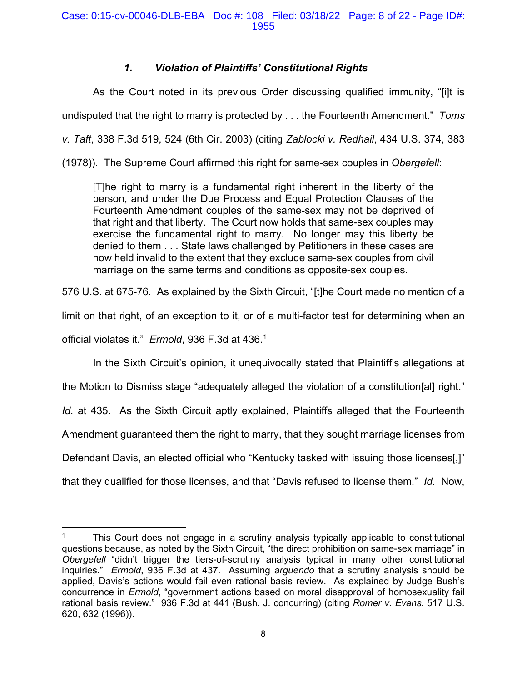# *1. Violation of Plaintiffs' Constitutional Rights*

As the Court noted in its previous Order discussing qualified immunity, "[i]t is undisputed that the right to marry is protected by . . . the Fourteenth Amendment." *Toms v. Taft*, 338 F.3d 519, 524 (6th Cir. 2003) (citing *Zablocki v. Redhail*, 434 U.S. 374, 383 (1978)). The Supreme Court affirmed this right for same-sex couples in *Obergefell*:

[T]he right to marry is a fundamental right inherent in the liberty of the person, and under the Due Process and Equal Protection Clauses of the Fourteenth Amendment couples of the same-sex may not be deprived of that right and that liberty. The Court now holds that same-sex couples may exercise the fundamental right to marry. No longer may this liberty be denied to them . . . State laws challenged by Petitioners in these cases are now held invalid to the extent that they exclude same-sex couples from civil marriage on the same terms and conditions as opposite-sex couples.

576 U.S. at 675-76. As explained by the Sixth Circuit, "[t]he Court made no mention of a

limit on that right, of an exception to it, or of a multi-factor test for determining when an

official violates it." *Ermold*, 936 F.3d at 436.1

In the Sixth Circuit's opinion, it unequivocally stated that Plaintiff's allegations at

the Motion to Dismiss stage "adequately alleged the violation of a constitution[al] right."

*Id.* at 435. As the Sixth Circuit aptly explained, Plaintiffs alleged that the Fourteenth

Amendment guaranteed them the right to marry, that they sought marriage licenses from

Defendant Davis, an elected official who "Kentucky tasked with issuing those licenses[,]"

that they qualified for those licenses, and that "Davis refused to license them." *Id.* Now,

<sup>1</sup> This Court does not engage in a scrutiny analysis typically applicable to constitutional questions because, as noted by the Sixth Circuit, "the direct prohibition on same-sex marriage" in *Obergefell* "didn't trigger the tiers-of-scrutiny analysis typical in many other constitutional inquiries." *Ermold*, 936 F.3d at 437. Assuming *arguendo* that a scrutiny analysis should be applied, Davis's actions would fail even rational basis review. As explained by Judge Bush's concurrence in *Ermold*, "government actions based on moral disapproval of homosexuality fail rational basis review." 936 F.3d at 441 (Bush, J. concurring) (citing *Romer v. Evans*, 517 U.S. 620, 632 (1996)).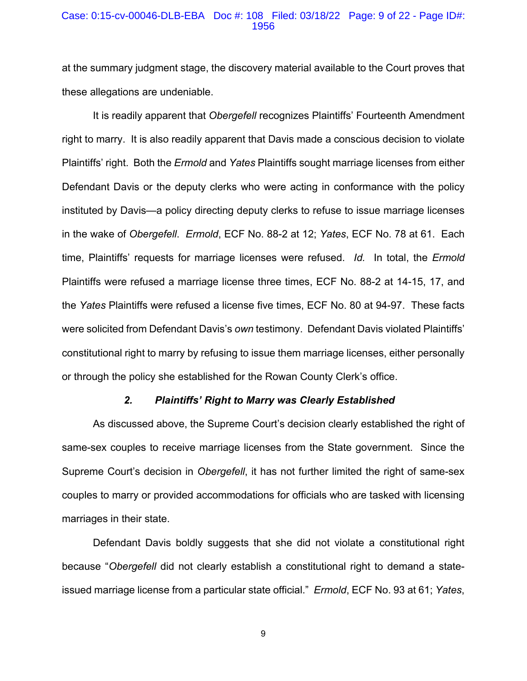#### Case: 0:15-cv-00046-DLB-EBA Doc #: 108 Filed: 03/18/22 Page: 9 of 22 - Page ID#: 1956

at the summary judgment stage, the discovery material available to the Court proves that these allegations are undeniable.

 It is readily apparent that *Obergefell* recognizes Plaintiffs' Fourteenth Amendment right to marry. It is also readily apparent that Davis made a conscious decision to violate Plaintiffs' right. Both the *Ermold* and *Yates* Plaintiffs sought marriage licenses from either Defendant Davis or the deputy clerks who were acting in conformance with the policy instituted by Davis—a policy directing deputy clerks to refuse to issue marriage licenses in the wake of *Obergefell*. *Ermold*, ECF No. 88-2 at 12; *Yates*, ECF No. 78 at 61. Each time, Plaintiffs' requests for marriage licenses were refused. *Id.* In total, the *Ermold*  Plaintiffs were refused a marriage license three times, ECF No. 88-2 at 14-15, 17, and the *Yates* Plaintiffs were refused a license five times, ECF No. 80 at 94-97. These facts were solicited from Defendant Davis's *own* testimony. Defendant Davis violated Plaintiffs' constitutional right to marry by refusing to issue them marriage licenses, either personally or through the policy she established for the Rowan County Clerk's office.

#### *2. Plaintiffs' Right to Marry was Clearly Established*

As discussed above, the Supreme Court's decision clearly established the right of same-sex couples to receive marriage licenses from the State government. Since the Supreme Court's decision in *Obergefell*, it has not further limited the right of same-sex couples to marry or provided accommodations for officials who are tasked with licensing marriages in their state.

Defendant Davis boldly suggests that she did not violate a constitutional right because "*Obergefell* did not clearly establish a constitutional right to demand a stateissued marriage license from a particular state official." *Ermold*, ECF No. 93 at 61; *Yates*,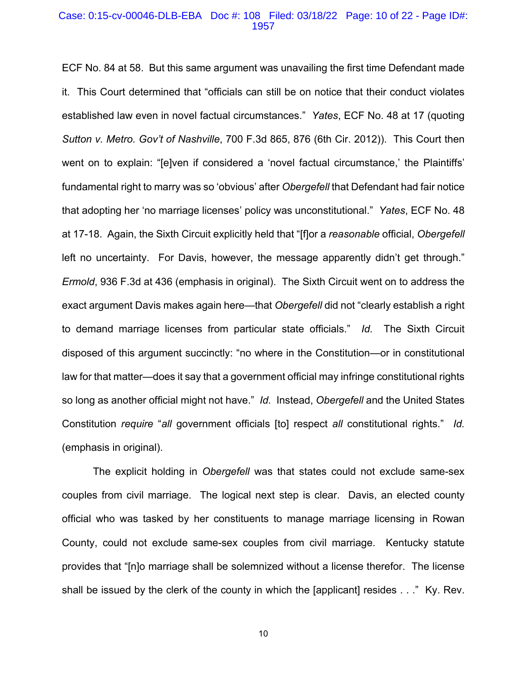#### Case: 0:15-cv-00046-DLB-EBA Doc #: 108 Filed: 03/18/22 Page: 10 of 22 - Page ID#: 1957

ECF No. 84 at 58. But this same argument was unavailing the first time Defendant made it. This Court determined that "officials can still be on notice that their conduct violates established law even in novel factual circumstances." *Yates*, ECF No. 48 at 17 (quoting *Sutton v. Metro. Gov't of Nashville*, 700 F.3d 865, 876 (6th Cir. 2012)). This Court then went on to explain: "[e]ven if considered a 'novel factual circumstance,' the Plaintiffs' fundamental right to marry was so 'obvious' after *Obergefell* that Defendant had fair notice that adopting her 'no marriage licenses' policy was unconstitutional." *Yates*, ECF No. 48 at 17-18. Again, the Sixth Circuit explicitly held that "[f]or a *reasonable* official, *Obergefell*  left no uncertainty. For Davis, however, the message apparently didn't get through." *Ermold*, 936 F.3d at 436 (emphasis in original). The Sixth Circuit went on to address the exact argument Davis makes again here—that *Obergefell* did not "clearly establish a right to demand marriage licenses from particular state officials." *Id.* The Sixth Circuit disposed of this argument succinctly: "no where in the Constitution—or in constitutional law for that matter—does it say that a government official may infringe constitutional rights so long as another official might not have." *Id.* Instead, *Obergefell* and the United States Constitution *require* "*all* government officials [to] respect *all* constitutional rights." *Id.*  (emphasis in original).

The explicit holding in *Obergefell* was that states could not exclude same-sex couples from civil marriage. The logical next step is clear. Davis, an elected county official who was tasked by her constituents to manage marriage licensing in Rowan County, could not exclude same-sex couples from civil marriage. Kentucky statute provides that "[n]o marriage shall be solemnized without a license therefor. The license shall be issued by the clerk of the county in which the [applicant] resides . . ." Ky. Rev.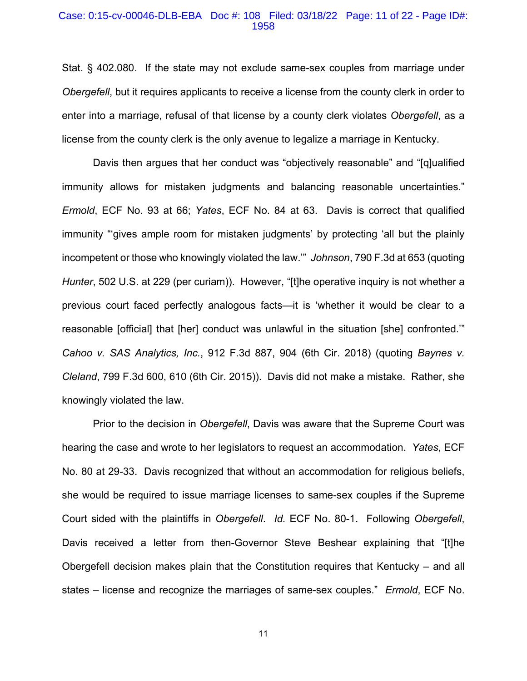#### Case: 0:15-cv-00046-DLB-EBA Doc #: 108 Filed: 03/18/22 Page: 11 of 22 - Page ID#: 1958

Stat. § 402.080. If the state may not exclude same-sex couples from marriage under *Obergefell*, but it requires applicants to receive a license from the county clerk in order to enter into a marriage, refusal of that license by a county clerk violates *Obergefell*, as a license from the county clerk is the only avenue to legalize a marriage in Kentucky.

Davis then argues that her conduct was "objectively reasonable" and "[q]ualified immunity allows for mistaken judgments and balancing reasonable uncertainties." *Ermold*, ECF No. 93 at 66; *Yates*, ECF No. 84 at 63. Davis is correct that qualified immunity "'gives ample room for mistaken judgments' by protecting 'all but the plainly incompetent or those who knowingly violated the law.'" *Johnson*, 790 F.3d at 653 (quoting *Hunter*, 502 U.S. at 229 (per curiam)). However, "[t]he operative inquiry is not whether a previous court faced perfectly analogous facts—it is 'whether it would be clear to a reasonable [official] that [her] conduct was unlawful in the situation [she] confronted.'" *Cahoo v. SAS Analytics, Inc.*, 912 F.3d 887, 904 (6th Cir. 2018) (quoting *Baynes v. Cleland*, 799 F.3d 600, 610 (6th Cir. 2015)). Davis did not make a mistake. Rather, she knowingly violated the law.

Prior to the decision in *Obergefell*, Davis was aware that the Supreme Court was hearing the case and wrote to her legislators to request an accommodation. *Yates*, ECF No. 80 at 29-33. Davis recognized that without an accommodation for religious beliefs, she would be required to issue marriage licenses to same-sex couples if the Supreme Court sided with the plaintiffs in *Obergefell*. *Id.* ECF No. 80-1. Following *Obergefell*, Davis received a letter from then-Governor Steve Beshear explaining that "[t]he Obergefell decision makes plain that the Constitution requires that Kentucky – and all states – license and recognize the marriages of same-sex couples." *Ermold*, ECF No.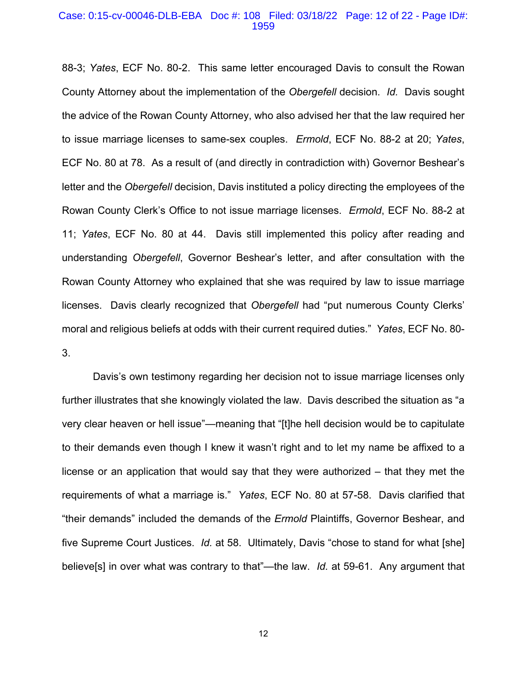#### Case: 0:15-cv-00046-DLB-EBA Doc #: 108 Filed: 03/18/22 Page: 12 of 22 - Page ID#: 1959

88-3; *Yates*, ECF No. 80-2. This same letter encouraged Davis to consult the Rowan County Attorney about the implementation of the *Obergefell* decision. *Id.* Davis sought the advice of the Rowan County Attorney, who also advised her that the law required her to issue marriage licenses to same-sex couples. *Ermold*, ECF No. 88-2 at 20; *Yates*, ECF No. 80 at 78. As a result of (and directly in contradiction with) Governor Beshear's letter and the *Obergefell* decision, Davis instituted a policy directing the employees of the Rowan County Clerk's Office to not issue marriage licenses. *Ermold*, ECF No. 88-2 at 11; *Yates*, ECF No. 80 at 44. Davis still implemented this policy after reading and understanding *Obergefell*, Governor Beshear's letter, and after consultation with the Rowan County Attorney who explained that she was required by law to issue marriage licenses. Davis clearly recognized that *Obergefell* had "put numerous County Clerks' moral and religious beliefs at odds with their current required duties." *Yates*, ECF No. 80- 3.

Davis's own testimony regarding her decision not to issue marriage licenses only further illustrates that she knowingly violated the law. Davis described the situation as "a very clear heaven or hell issue"—meaning that "[t]he hell decision would be to capitulate to their demands even though I knew it wasn't right and to let my name be affixed to a license or an application that would say that they were authorized – that they met the requirements of what a marriage is." *Yates*, ECF No. 80 at 57-58. Davis clarified that "their demands" included the demands of the *Ermold* Plaintiffs, Governor Beshear, and five Supreme Court Justices. *Id.* at 58. Ultimately, Davis "chose to stand for what [she] believe[s] in over what was contrary to that"—the law. *Id.* at 59-61. Any argument that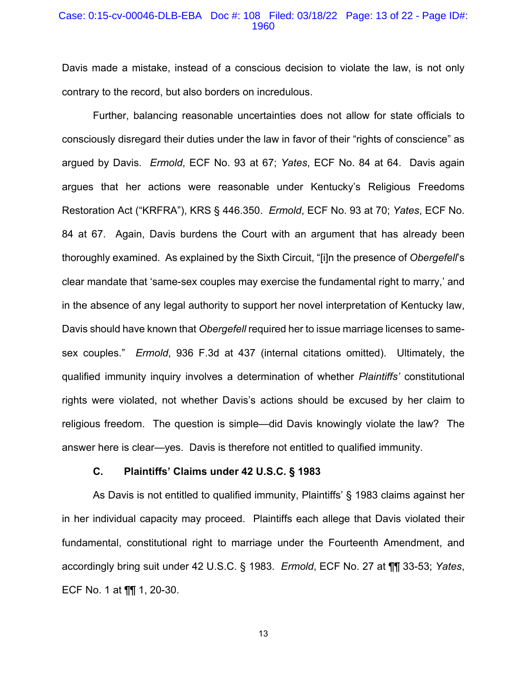#### Case: 0:15-cv-00046-DLB-EBA Doc #: 108 Filed: 03/18/22 Page: 13 of 22 - Page ID#: 1960

Davis made a mistake, instead of a conscious decision to violate the law, is not only contrary to the record, but also borders on incredulous.

Further, balancing reasonable uncertainties does not allow for state officials to consciously disregard their duties under the law in favor of their "rights of conscience" as argued by Davis. *Ermold*, ECF No. 93 at 67; *Yates*, ECF No. 84 at 64. Davis again argues that her actions were reasonable under Kentucky's Religious Freedoms Restoration Act ("KRFRA"), KRS § 446.350. *Ermold*, ECF No. 93 at 70; *Yates*, ECF No. 84 at 67. Again, Davis burdens the Court with an argument that has already been thoroughly examined. As explained by the Sixth Circuit, "[i]n the presence of *Obergefell*'s clear mandate that 'same-sex couples may exercise the fundamental right to marry,' and in the absence of any legal authority to support her novel interpretation of Kentucky law, Davis should have known that *Obergefell* required her to issue marriage licenses to samesex couples." *Ermold*, 936 F.3d at 437 (internal citations omitted). Ultimately, the qualified immunity inquiry involves a determination of whether *Plaintiffs'* constitutional rights were violated, not whether Davis's actions should be excused by her claim to religious freedom. The question is simple—did Davis knowingly violate the law? The answer here is clear—yes. Davis is therefore not entitled to qualified immunity.

## **C. Plaintiffs' Claims under 42 U.S.C. § 1983**

As Davis is not entitled to qualified immunity, Plaintiffs' § 1983 claims against her in her individual capacity may proceed. Plaintiffs each allege that Davis violated their fundamental, constitutional right to marriage under the Fourteenth Amendment, and accordingly bring suit under 42 U.S.C. § 1983. *Ermold*, ECF No. 27 at ¶¶ 33-53; *Yates*, ECF No. 1 at ¶¶ 1, 20-30.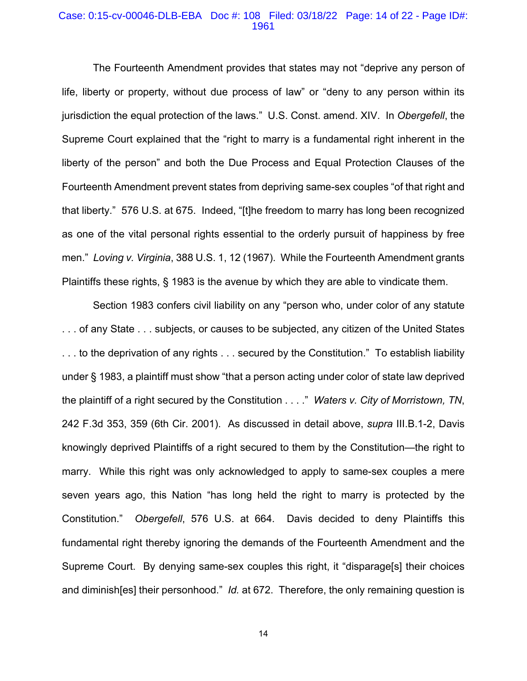#### Case: 0:15-cv-00046-DLB-EBA Doc #: 108 Filed: 03/18/22 Page: 14 of 22 - Page ID#: 1961

The Fourteenth Amendment provides that states may not "deprive any person of life, liberty or property, without due process of law" or "deny to any person within its jurisdiction the equal protection of the laws." U.S. Const. amend. XIV. In *Obergefell*, the Supreme Court explained that the "right to marry is a fundamental right inherent in the liberty of the person" and both the Due Process and Equal Protection Clauses of the Fourteenth Amendment prevent states from depriving same-sex couples "of that right and that liberty." 576 U.S. at 675. Indeed, "[t]he freedom to marry has long been recognized as one of the vital personal rights essential to the orderly pursuit of happiness by free men." *Loving v. Virginia*, 388 U.S. 1, 12 (1967). While the Fourteenth Amendment grants Plaintiffs these rights, § 1983 is the avenue by which they are able to vindicate them.

 Section 1983 confers civil liability on any "person who, under color of any statute . . . of any State . . . subjects, or causes to be subjected, any citizen of the United States . . . to the deprivation of any rights . . . secured by the Constitution." To establish liability under § 1983, a plaintiff must show "that a person acting under color of state law deprived the plaintiff of a right secured by the Constitution . . . ." *Waters v. City of Morristown, TN*, 242 F.3d 353, 359 (6th Cir. 2001). As discussed in detail above, *supra* III.B.1-2, Davis knowingly deprived Plaintiffs of a right secured to them by the Constitution—the right to marry. While this right was only acknowledged to apply to same-sex couples a mere seven years ago, this Nation "has long held the right to marry is protected by the Constitution." *Obergefell*, 576 U.S. at 664. Davis decided to deny Plaintiffs this fundamental right thereby ignoring the demands of the Fourteenth Amendment and the Supreme Court. By denying same-sex couples this right, it "disparage[s] their choices and diminish[es] their personhood." *Id.* at 672. Therefore, the only remaining question is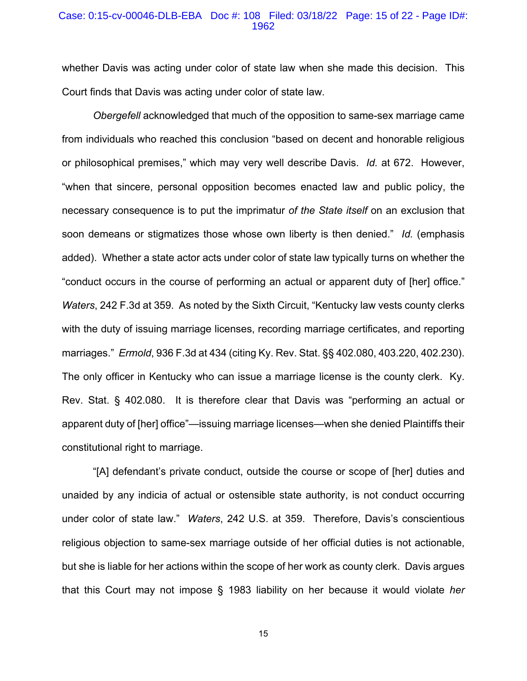#### Case: 0:15-cv-00046-DLB-EBA Doc #: 108 Filed: 03/18/22 Page: 15 of 22 - Page ID#: 1962

whether Davis was acting under color of state law when she made this decision. This Court finds that Davis was acting under color of state law.

*Obergefell* acknowledged that much of the opposition to same-sex marriage came from individuals who reached this conclusion "based on decent and honorable religious or philosophical premises," which may very well describe Davis. *Id.* at 672. However, "when that sincere, personal opposition becomes enacted law and public policy, the necessary consequence is to put the imprimatur *of the State itself* on an exclusion that soon demeans or stigmatizes those whose own liberty is then denied." *Id.* (emphasis added).Whether a state actor acts under color of state law typically turns on whether the "conduct occurs in the course of performing an actual or apparent duty of [her] office." *Waters*, 242 F.3d at 359. As noted by the Sixth Circuit, "Kentucky law vests county clerks with the duty of issuing marriage licenses, recording marriage certificates, and reporting marriages." *Ermold*, 936 F.3d at 434 (citing Ky. Rev. Stat. §§ 402.080, 403.220, 402.230). The only officer in Kentucky who can issue a marriage license is the county clerk. Ky. Rev. Stat. § 402.080. It is therefore clear that Davis was "performing an actual or apparent duty of [her] office"—issuing marriage licenses—when she denied Plaintiffs their constitutional right to marriage.

"[A] defendant's private conduct, outside the course or scope of [her] duties and unaided by any indicia of actual or ostensible state authority, is not conduct occurring under color of state law." *Waters*, 242 U.S. at 359. Therefore, Davis's conscientious religious objection to same-sex marriage outside of her official duties is not actionable, but she is liable for her actions within the scope of her work as county clerk. Davis argues that this Court may not impose § 1983 liability on her because it would violate *her*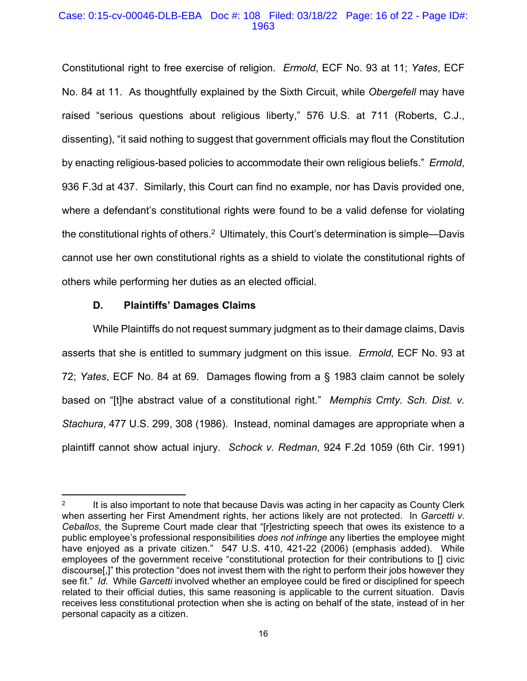## Case: 0:15-cv-00046-DLB-EBA Doc #: 108 Filed: 03/18/22 Page: 16 of 22 - Page ID#: 1963

Constitutional right to free exercise of religion. *Ermold*, ECF No. 93 at 11; *Yates*, ECF No. 84 at 11. As thoughtfully explained by the Sixth Circuit, while *Obergefell* may have raised "serious questions about religious liberty," 576 U.S. at 711 (Roberts, C.J., dissenting), "it said nothing to suggest that government officials may flout the Constitution by enacting religious-based policies to accommodate their own religious beliefs." *Ermold*, 936 F.3d at 437. Similarly, this Court can find no example, nor has Davis provided one, where a defendant's constitutional rights were found to be a valid defense for violating the constitutional rights of others.<sup>2</sup> Ultimately, this Court's determination is simple—Davis cannot use her own constitutional rights as a shield to violate the constitutional rights of others while performing her duties as an elected official.

## **D. Plaintiffs' Damages Claims**

While Plaintiffs do not request summary judgment as to their damage claims, Davis asserts that she is entitled to summary judgment on this issue. *Ermold,* ECF No. 93 at 72; *Yates*, ECF No. 84 at 69. Damages flowing from a § 1983 claim cannot be solely based on "[t]he abstract value of a constitutional right." *Memphis Cmty. Sch. Dist. v. Stachura*, 477 U.S. 299, 308 (1986). Instead, nominal damages are appropriate when a plaintiff cannot show actual injury. *Schock v. Redman*, 924 F.2d 1059 (6th Cir. 1991)

<sup>&</sup>lt;sup>2</sup> It is also important to note that because Davis was acting in her capacity as County Clerk when asserting her First Amendment rights, her actions likely are not protected. In *Garcetti v. Ceballos*, the Supreme Court made clear that "[r]estricting speech that owes its existence to a public employee's professional responsibilities *does not infringe* any liberties the employee might have enjoyed as a private citizen." 547 U.S. 410, 421-22 (2006) (emphasis added). While employees of the government receive "constitutional protection for their contributions to [] civic discourse[,]" this protection "does not invest them with the right to perform their jobs however they see fit." *Id.* While *Garcetti* involved whether an employee could be fired or disciplined for speech related to their official duties, this same reasoning is applicable to the current situation. Davis receives less constitutional protection when she is acting on behalf of the state, instead of in her personal capacity as a citizen.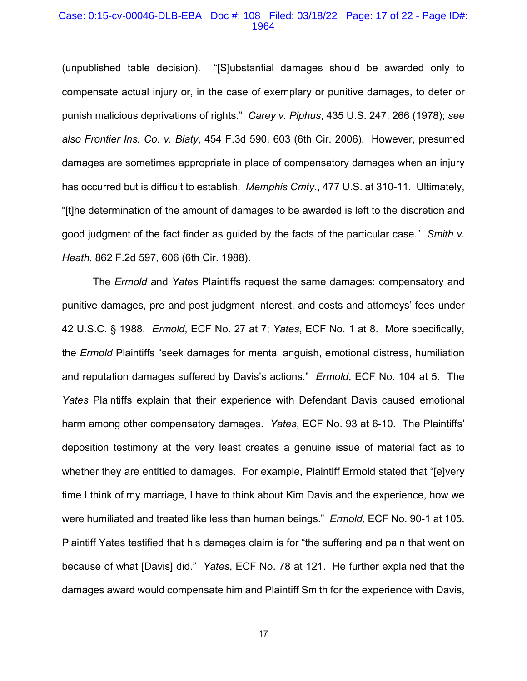#### Case: 0:15-cv-00046-DLB-EBA Doc #: 108 Filed: 03/18/22 Page: 17 of 22 - Page ID#: 1964

(unpublished table decision). "[S]ubstantial damages should be awarded only to compensate actual injury or, in the case of exemplary or punitive damages, to deter or punish malicious deprivations of rights." *Carey v. Piphus*, 435 U.S. 247, 266 (1978); *see also Frontier Ins. Co. v. Blaty*, 454 F.3d 590, 603 (6th Cir. 2006). However, presumed damages are sometimes appropriate in place of compensatory damages when an injury has occurred but is difficult to establish. *Memphis Cmty.*, 477 U.S. at 310-11. Ultimately, "[t]he determination of the amount of damages to be awarded is left to the discretion and good judgment of the fact finder as guided by the facts of the particular case." *Smith v. Heath*, 862 F.2d 597, 606 (6th Cir. 1988).

The *Ermold* and *Yates* Plaintiffs request the same damages: compensatory and punitive damages, pre and post judgment interest, and costs and attorneys' fees under 42 U.S.C. § 1988. *Ermold*, ECF No. 27 at 7; *Yates*, ECF No. 1 at 8. More specifically, the *Ermold* Plaintiffs "seek damages for mental anguish, emotional distress, humiliation and reputation damages suffered by Davis's actions." *Ermold*, ECF No. 104 at 5. The *Yates* Plaintiffs explain that their experience with Defendant Davis caused emotional harm among other compensatory damages. *Yates*, ECF No. 93 at 6-10. The Plaintiffs' deposition testimony at the very least creates a genuine issue of material fact as to whether they are entitled to damages. For example, Plaintiff Ermold stated that "[e]very time I think of my marriage, I have to think about Kim Davis and the experience, how we were humiliated and treated like less than human beings." *Ermold*, ECF No. 90-1 at 105. Plaintiff Yates testified that his damages claim is for "the suffering and pain that went on because of what [Davis] did." *Yates*, ECF No. 78 at 121. He further explained that the damages award would compensate him and Plaintiff Smith for the experience with Davis,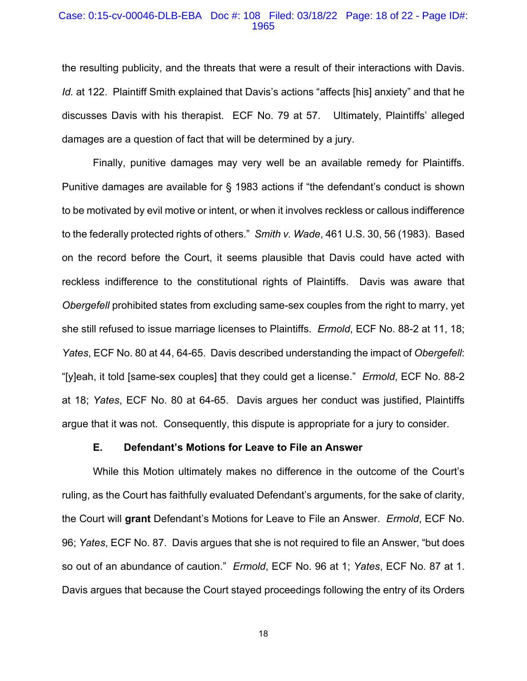#### Case: 0:15-cv-00046-DLB-EBA Doc #: 108 Filed: 03/18/22 Page: 18 of 22 - Page ID#: 1965

the resulting publicity, and the threats that were a result of their interactions with Davis. *Id.* at 122. Plaintiff Smith explained that Davis's actions "affects [his] anxiety" and that he discusses Davis with his therapist. ECF No. 79 at 57. Ultimately, Plaintiffs' alleged damages are a question of fact that will be determined by a jury.

Finally, punitive damages may very well be an available remedy for Plaintiffs. Punitive damages are available for § 1983 actions if "the defendant's conduct is shown to be motivated by evil motive or intent, or when it involves reckless or callous indifference to the federally protected rights of others." *Smith v. Wade*, 461 U.S. 30, 56 (1983). Based on the record before the Court, it seems plausible that Davis could have acted with reckless indifference to the constitutional rights of Plaintiffs. Davis was aware that *Obergefell* prohibited states from excluding same-sex couples from the right to marry, yet she still refused to issue marriage licenses to Plaintiffs. *Ermold*, ECF No. 88-2 at 11, 18; *Yates*, ECF No. 80 at 44, 64-65. Davis described understanding the impact of *Obergefell*: "[y]eah, it told [same-sex couples] that they could get a license." *Ermold*, ECF No. 88-2 at 18; *Yates*, ECF No. 80 at 64-65. Davis argues her conduct was justified, Plaintiffs argue that it was not. Consequently, this dispute is appropriate for a jury to consider.

#### **E. Defendant's Motions for Leave to File an Answer**

While this Motion ultimately makes no difference in the outcome of the Court's ruling, as the Court has faithfully evaluated Defendant's arguments, for the sake of clarity, the Court will **grant** Defendant's Motions for Leave to File an Answer. *Ermold*, ECF No. 96; *Yates*, ECF No. 87. Davis argues that she is not required to file an Answer, "but does so out of an abundance of caution." *Ermold*, ECF No. 96 at 1; *Yates*, ECF No. 87 at 1. Davis argues that because the Court stayed proceedings following the entry of its Orders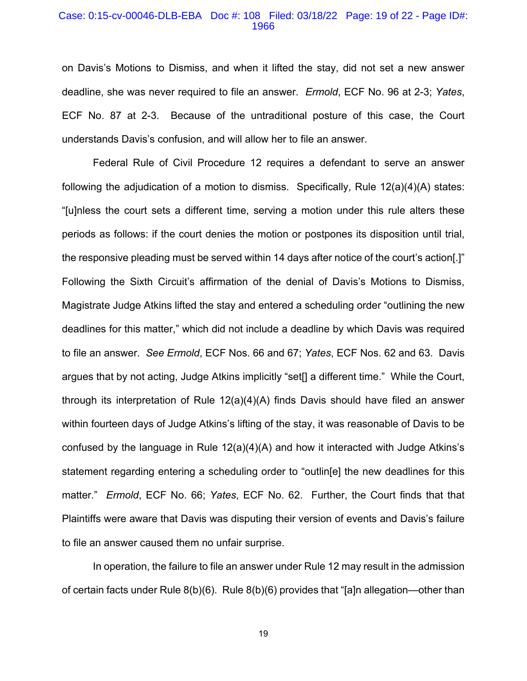#### Case: 0:15-cv-00046-DLB-EBA Doc #: 108 Filed: 03/18/22 Page: 19 of 22 - Page ID#: 1966

on Davis's Motions to Dismiss, and when it lifted the stay, did not set a new answer deadline, she was never required to file an answer. *Ermold*, ECF No. 96 at 2-3; *Yates*, ECF No. 87 at 2-3. Because of the untraditional posture of this case, the Court understands Davis's confusion, and will allow her to file an answer.

Federal Rule of Civil Procedure 12 requires a defendant to serve an answer following the adjudication of a motion to dismiss. Specifically, Rule 12(a)(4)(A) states: "[u]nless the court sets a different time, serving a motion under this rule alters these periods as follows: if the court denies the motion or postpones its disposition until trial, the responsive pleading must be served within 14 days after notice of the court's action[.]" Following the Sixth Circuit's affirmation of the denial of Davis's Motions to Dismiss, Magistrate Judge Atkins lifted the stay and entered a scheduling order "outlining the new deadlines for this matter," which did not include a deadline by which Davis was required to file an answer. *See Ermold*, ECF Nos. 66 and 67; *Yates*, ECF Nos. 62 and 63. Davis argues that by not acting, Judge Atkins implicitly "set[] a different time." While the Court, through its interpretation of Rule 12(a)(4)(A) finds Davis should have filed an answer within fourteen days of Judge Atkins's lifting of the stay, it was reasonable of Davis to be confused by the language in Rule  $12(a)(4)(A)$  and how it interacted with Judge Atkins's statement regarding entering a scheduling order to "outlin[e] the new deadlines for this matter." *Ermold*, ECF No. 66; *Yates*, ECF No. 62. Further, the Court finds that that Plaintiffs were aware that Davis was disputing their version of events and Davis's failure to file an answer caused them no unfair surprise.

In operation, the failure to file an answer under Rule 12 may result in the admission of certain facts under Rule 8(b)(6). Rule 8(b)(6) provides that "[a]n allegation—other than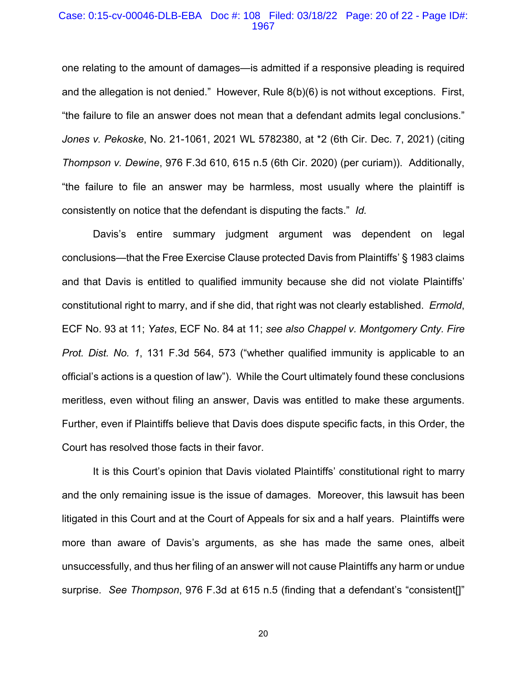#### Case: 0:15-cv-00046-DLB-EBA Doc #: 108 Filed: 03/18/22 Page: 20 of 22 - Page ID#: 1967

one relating to the amount of damages—is admitted if a responsive pleading is required and the allegation is not denied." However, Rule 8(b)(6) is not without exceptions. First, "the failure to file an answer does not mean that a defendant admits legal conclusions." *Jones v. Pekoske*, No. 21-1061, 2021 WL 5782380, at \*2 (6th Cir. Dec. 7, 2021) (citing *Thompson v. Dewine*, 976 F.3d 610, 615 n.5 (6th Cir. 2020) (per curiam)). Additionally, "the failure to file an answer may be harmless, most usually where the plaintiff is consistently on notice that the defendant is disputing the facts." *Id.* 

Davis's entire summary judgment argument was dependent on legal conclusions—that the Free Exercise Clause protected Davis from Plaintiffs' § 1983 claims and that Davis is entitled to qualified immunity because she did not violate Plaintiffs' constitutional right to marry, and if she did, that right was not clearly established. *Ermold*, ECF No. 93 at 11; *Yates*, ECF No. 84 at 11; *see also Chappel v. Montgomery Cnty. Fire Prot. Dist. No. 1*, 131 F.3d 564, 573 ("whether qualified immunity is applicable to an official's actions is a question of law"). While the Court ultimately found these conclusions meritless, even without filing an answer, Davis was entitled to make these arguments. Further, even if Plaintiffs believe that Davis does dispute specific facts, in this Order, the Court has resolved those facts in their favor.

It is this Court's opinion that Davis violated Plaintiffs' constitutional right to marry and the only remaining issue is the issue of damages. Moreover, this lawsuit has been litigated in this Court and at the Court of Appeals for six and a half years. Plaintiffs were more than aware of Davis's arguments, as she has made the same ones, albeit unsuccessfully, and thus her filing of an answer will not cause Plaintiffs any harm or undue surprise. *See Thompson*, 976 F.3d at 615 n.5 (finding that a defendant's "consistent[]"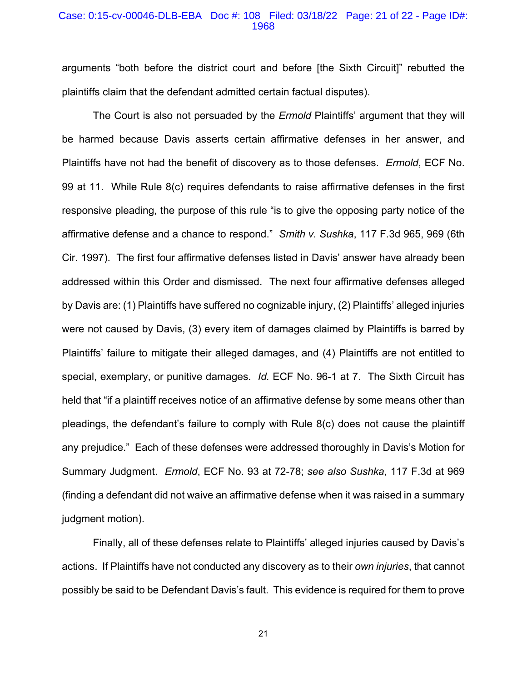#### Case: 0:15-cv-00046-DLB-EBA Doc #: 108 Filed: 03/18/22 Page: 21 of 22 - Page ID#: 1968

arguments "both before the district court and before [the Sixth Circuit]" rebutted the plaintiffs claim that the defendant admitted certain factual disputes).

The Court is also not persuaded by the *Ermold* Plaintiffs' argument that they will be harmed because Davis asserts certain affirmative defenses in her answer, and Plaintiffs have not had the benefit of discovery as to those defenses. *Ermold*, ECF No. 99 at 11. While Rule 8(c) requires defendants to raise affirmative defenses in the first responsive pleading, the purpose of this rule "is to give the opposing party notice of the affirmative defense and a chance to respond." *Smith v. Sushka*, 117 F.3d 965, 969 (6th Cir. 1997). The first four affirmative defenses listed in Davis' answer have already been addressed within this Order and dismissed. The next four affirmative defenses alleged by Davis are: (1) Plaintiffs have suffered no cognizable injury, (2) Plaintiffs' alleged injuries were not caused by Davis, (3) every item of damages claimed by Plaintiffs is barred by Plaintiffs' failure to mitigate their alleged damages, and (4) Plaintiffs are not entitled to special, exemplary, or punitive damages. *Id.* ECF No. 96-1 at 7. The Sixth Circuit has held that "if a plaintiff receives notice of an affirmative defense by some means other than pleadings, the defendant's failure to comply with Rule 8(c) does not cause the plaintiff any prejudice." Each of these defenses were addressed thoroughly in Davis's Motion for Summary Judgment. *Ermold*, ECF No. 93 at 72-78; *see also Sushka*, 117 F.3d at 969 (finding a defendant did not waive an affirmative defense when it was raised in a summary judgment motion).

Finally, all of these defenses relate to Plaintiffs' alleged injuries caused by Davis's actions. If Plaintiffs have not conducted any discovery as to their *own injuries*, that cannot possibly be said to be Defendant Davis's fault. This evidence is required for them to prove